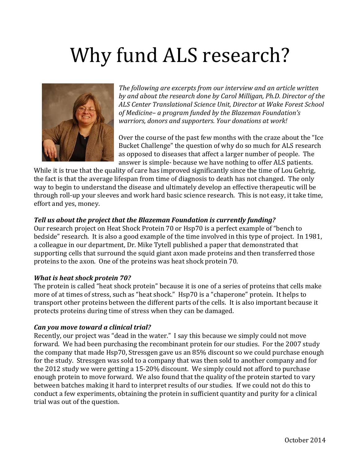# Why fund ALS research?



*The following are excerpts from our interview and an article written by and about the research done by Carol Milligan, Ph.D. Director of the ALS Center Translational Science Unit, Director at Wake Forest School of Medicine– a program funded by the Blazeman Foundation's warriors, donors and supporters. Your donations at work!* 

Over the course of the past few months with the craze about the "Ice Bucket Challenge" the question of why do so much for ALS research as opposed to diseases that affect a larger number of people. The answer is simple- because we have nothing to offer ALS patients.

While it is true that the quality of care has improved significantly since the time of Lou Gehrig, the fact is that the average lifespan from time of diagnosis to death has not changed. The only way to begin to understand the disease and ultimately develop an effective therapeutic will be through roll-up your sleeves and work hard basic science research. This is not easy, it take time, effort and yes, money.

# *Tell us about the project that the Blazeman Foundation is currently funding?*

Our research project on Heat Shock Protein 70 or Hsp70 is a perfect example of "bench to bedside" research. It is also a good example of the time involved in this type of project. In 1981, a colleague in our department, Dr. Mike Tytell published a paper that demonstrated that supporting cells that surround the squid giant axon made proteins and then transferred those proteins to the axon. One of the proteins was heat shock protein 70.

# *What is heat shock protein 70?*

The protein is called "heat shock protein" because it is one of a series of proteins that cells make more of at times of stress, such as "heat shock." Hsp70 is a "chaperone" protein. It helps to transport other proteins between the different parts of the cells. It is also important because it protects proteins during time of stress when they can be damaged.

#### *Can you move toward a clinical trial?*

Recently, our project was "dead in the water." I say this because we simply could not move forward. We had been purchasing the recombinant protein for our studies. For the 2007 study the company that made Hsp70, Stressgen gave us an 85% discount so we could purchase enough for the study. Stressgen was sold to a company that was then sold to another company and for the 2012 study we were getting a 15-20% discount. We simply could not afford to purchase enough protein to move forward. We also found that the quality of the protein started to vary between batches making it hard to interpret results of our studies. If we could not do this to conduct a few experiments, obtaining the protein in sufficient quantity and purity for a clinical trial was out of the question.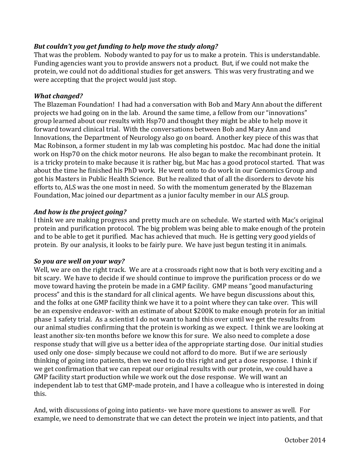# *But couldn't you get funding to help move the study along?*

That was the problem. Nobody wanted to pay for us to make a protein. This is understandable. Funding agencies want you to provide answers not a product. But, if we could not make the protein, we could not do additional studies for get answers. This was very frustrating and we were accepting that the project would just stop.

### *What changed?*

The Blazeman Foundation! I had had a conversation with Bob and Mary Ann about the different projects we had going on in the lab. Around the same time, a fellow from our "innovations" group learned about our results with Hsp70 and thought they might be able to help move it forward toward clinical trial. With the conversations between Bob and Mary Ann and Innovations, the Department of Neurology also go on board. Another key piece of this was that Mac Robinson, a former student in my lab was completing his postdoc. Mac had done the initial work on Hsp70 on the chick motor neurons. He also began to make the recombinant protein. It is a tricky protein to make because it is rather big, but Mac has a good protocol started. That was about the time he finished his PhD work. He went onto to do work in our Genomics Group and got his Masters in Public Health Science. But he realized that of all the disorders to devote his efforts to, ALS was the one most in need. So with the momentum generated by the Blazeman Foundation, Mac joined our department as a junior faculty member in our ALS group.

# *And how is the project going?*

I think we are making progress and pretty much are on schedule. We started with Mac's original protein and purification protocol. The big problem was being able to make enough of the protein and to be able to get it purified. Mac has achieved that much. He is getting very good yields of protein. By our analysis, it looks to be fairly pure. We have just begun testing it in animals.

# *So you are well on your way?*

Well, we are on the right track. We are at a crossroads right now that is both very exciting and a bit scary. We have to decide if we should continue to improve the purification process or do we move toward having the protein be made in a GMP facility. GMP means "good manufacturing process" and this is the standard for all clinical agents. We have begun discussions about this, and the folks at one GMP facility think we have it to a point where they can take over. This will be an expensive endeavor- with an estimate of about \$200K to make enough protein for an initial phase 1 safety trial. As a scientist I do not want to hand this over until we get the results from our animal studies confirming that the protein is working as we expect. I think we are looking at least another six-ten months before we know this for sure. We also need to complete a dose response study that will give us a better idea of the appropriate starting dose. Our initial studies used only one dose- simply because we could not afford to do more. But if we are seriously thinking of going into patients, then we need to do this right and get a dose response. I think if we get confirmation that we can repeat our original results with our protein, we could have a GMP facility start production while we work out the dose response. We will want an independent lab to test that GMP-made protein, and I have a colleague who is interested in doing this.

And, with discussions of going into patients- we have more questions to answer as well. For example, we need to demonstrate that we can detect the protein we inject into patients, and that